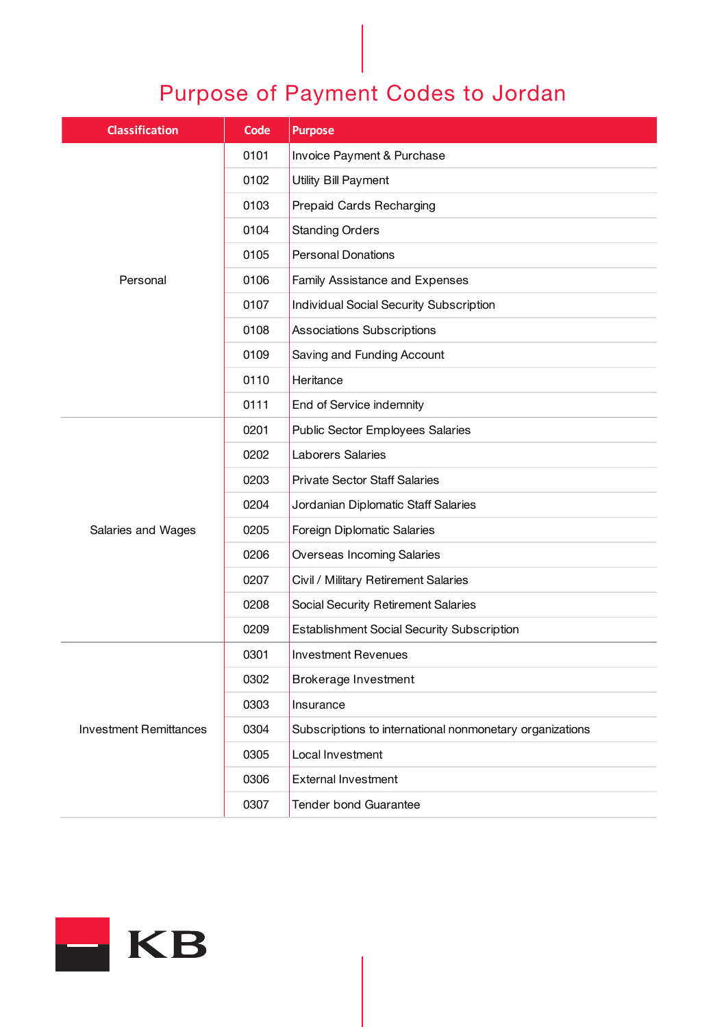## Purpose of Payment Codes to Jordan

| <b>Classification</b>         | <b>Code</b> | <b>Purpose</b>                                           |
|-------------------------------|-------------|----------------------------------------------------------|
| Personal                      | 0101        | Invoice Payment & Purchase                               |
|                               | 0102        | Utility Bill Payment                                     |
|                               | 0103        | Prepaid Cards Recharging                                 |
|                               | 0104        | <b>Standing Orders</b>                                   |
|                               | 0105        | <b>Personal Donations</b>                                |
|                               | 0106        | Family Assistance and Expenses                           |
|                               | 0107        | Individual Social Security Subscription                  |
|                               | 0108        | <b>Associations Subscriptions</b>                        |
|                               | 0109        | Saving and Funding Account                               |
|                               | 0110        | Heritance                                                |
|                               | 0111        | End of Service indemnity                                 |
| Salaries and Wages            | 0201        | <b>Public Sector Employees Salaries</b>                  |
|                               | 0202        | Laborers Salaries                                        |
|                               | 0203        | <b>Private Sector Staff Salaries</b>                     |
|                               | 0204        | Jordanian Diplomatic Staff Salaries                      |
|                               | 0205        | Foreign Diplomatic Salaries                              |
|                               | 0206        | <b>Overseas Incoming Salaries</b>                        |
|                               | 0207        | Civil / Military Retirement Salaries                     |
|                               | 0208        | Social Security Retirement Salaries                      |
|                               | 0209        | <b>Establishment Social Security Subscription</b>        |
|                               | 0301        | <b>Investment Revenues</b>                               |
| <b>Investment Remittances</b> | 0302        | Brokerage Investment                                     |
|                               | 0303        | Insurance                                                |
|                               | 0304        | Subscriptions to international nonmonetary organizations |
|                               | 0305        | Local Investment                                         |
|                               | 0306        | <b>External Investment</b>                               |
|                               | 0307        | <b>Tender bond Guarantee</b>                             |

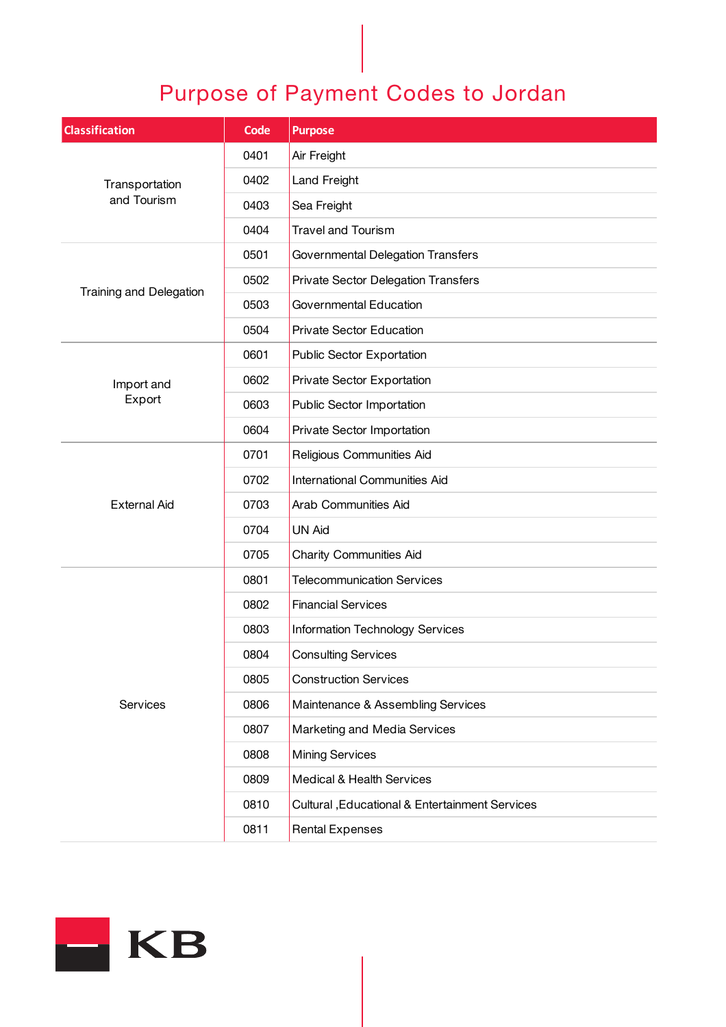## Purpose of Payment Codes to Jordan

| <b>Classification</b>         | <b>Code</b> | <b>Purpose</b>                                  |
|-------------------------------|-------------|-------------------------------------------------|
| Transportation<br>and Tourism | 0401        | Air Freight                                     |
|                               | 0402        | <b>Land Freight</b>                             |
|                               | 0403        | Sea Freight                                     |
|                               | 0404        | <b>Travel and Tourism</b>                       |
| Training and Delegation       | 0501        | Governmental Delegation Transfers               |
|                               | 0502        | Private Sector Delegation Transfers             |
|                               | 0503        | Governmental Education                          |
|                               | 0504        | <b>Private Sector Education</b>                 |
| Import and<br>Export          | 0601        | Public Sector Exportation                       |
|                               | 0602        | Private Sector Exportation                      |
|                               | 0603        | Public Sector Importation                       |
|                               | 0604        | Private Sector Importation                      |
| <b>External Aid</b>           | 0701        | Religious Communities Aid                       |
|                               | 0702        | International Communities Aid                   |
|                               | 0703        | Arab Communities Aid                            |
|                               | 0704        | <b>UN Aid</b>                                   |
|                               | 0705        | <b>Charity Communities Aid</b>                  |
|                               | 0801        | <b>Telecommunication Services</b>               |
| Services                      | 0802        | <b>Financial Services</b>                       |
|                               | 0803        | Information Technology Services                 |
|                               | 0804        | <b>Consulting Services</b>                      |
|                               | 0805        | <b>Construction Services</b>                    |
|                               | 0806        | Maintenance & Assembling Services               |
|                               | 0807        | Marketing and Media Services                    |
|                               | 0808        | <b>Mining Services</b>                          |
|                               | 0809        | Medical & Health Services                       |
|                               | 0810        | Cultural , Educational & Entertainment Services |
|                               | 0811        | <b>Rental Expenses</b>                          |